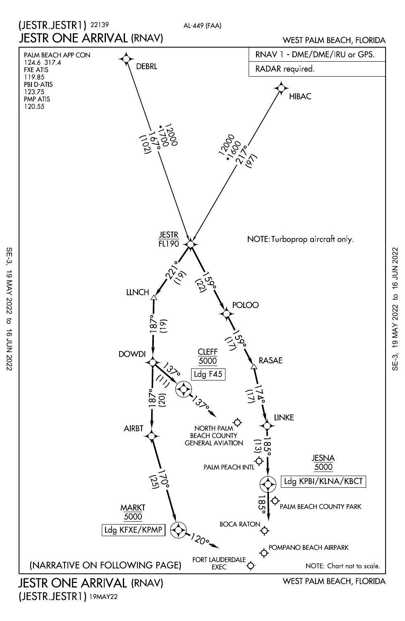

(JESTR.JESTR1) 19MAY22

SE-3, 19 MAY 2022 to 16 JUN 2022

 $\vec{c}$ 

16 JUN 2022

19 MAY 2022

SE-3,